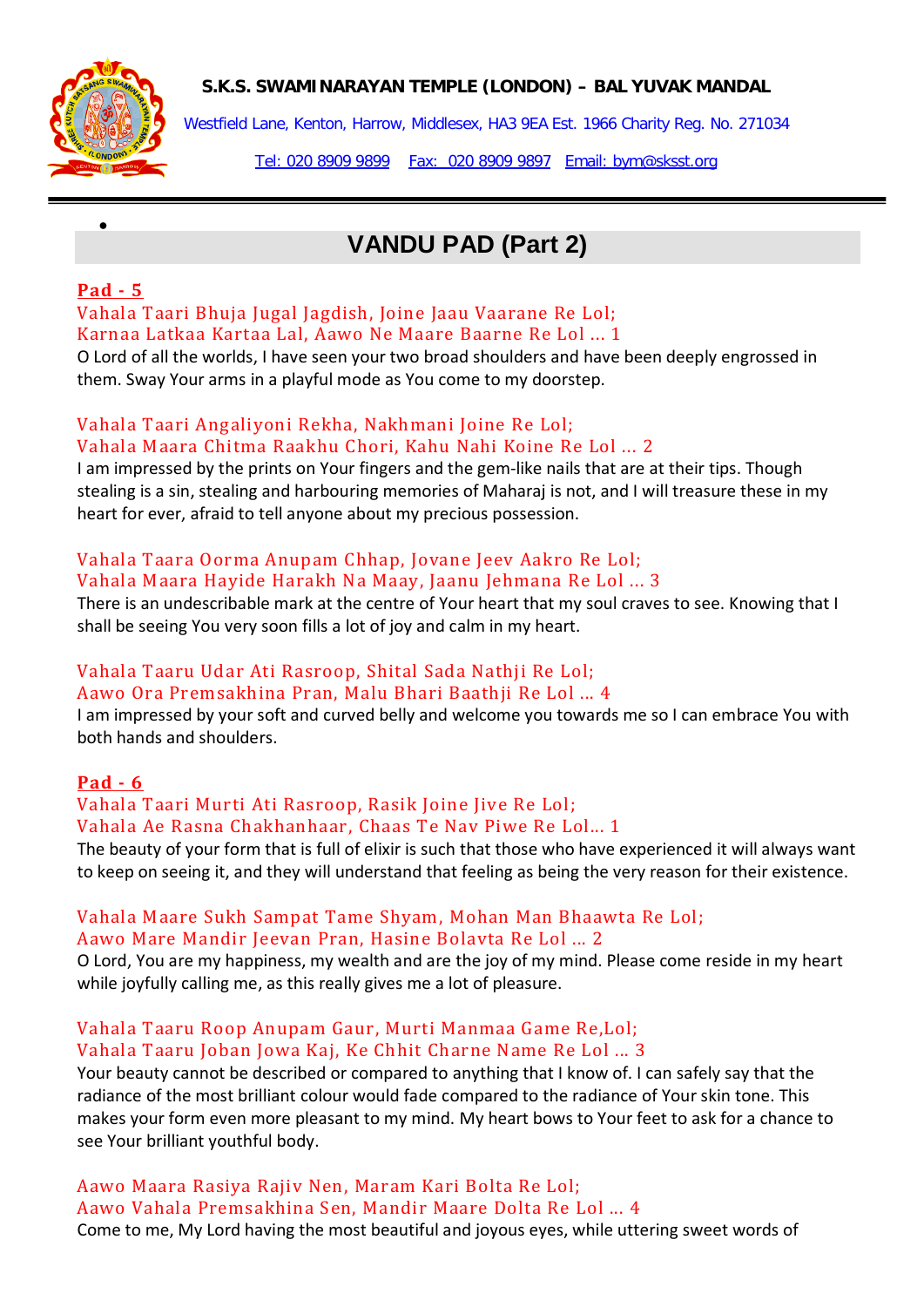**S.K.S. SWAMINARAYAN TEMPLE (LONDON) – BAL YUVAK MANDAL**



Westfield Lane, Kenton, Harrow, Middlesex, HA3 9EA Est. 1966 Charity Reg. No. 271034

Tel: 020 8909 9899 Fax: 020 8909 9897 Email: bym@sksst.org

# **VANDU PAD (Part 2)**

## **Pad - 5**

•

Vahala Taari Bhuja Jugal Jagdish, Joine Jaau Vaarane Re Lol; Karnaa Latkaa Kartaa Lal, Aawo Ne Maare Baarne Re Lol ... 1

O Lord of all the worlds, I have seen your two broad shoulders and have been deeply engrossed in them. Sway Your arms in a playful mode as You come to my doorstep.

### Vahala Taari Angaliyoni Rekha, Nakhmani Joine Re Lol; Vahala Maara Chitma Raakhu Chori, Kahu Nahi Koine Re Lol ... 2

I am impressed by the prints on Your fingers and the gem-like nails that are at their tips. Though stealing is a sin, stealing and harbouring memories of Maharaj is not, and I will treasure these in my heart for ever, afraid to tell anyone about my precious possession.

# Vahala Taara Oorma Anupam Chhap, Jovane Jeev Aakro Re Lol; Vahala Maara Hayide Harakh Na Maay, Jaanu Jehmana Re Lol ... 3

There is an undescribable mark at the centre of Your heart that my soul craves to see. Knowing that I shall be seeing You very soon fills a lot of joy and calm in my heart.

## Vahala Taaru Udar Ati Rasroop, Shital Sada Nathji Re Lol; Aawo Ora Premsakhina Pran, Malu Bhari Baathji Re Lol ... 4

I am impressed by your soft and curved belly and welcome you towards me so I can embrace You with both hands and shoulders.

# **Pad - 6**

### Vahala Taari Murti Ati Rasroop, Rasik Joine Jive Re Lol; Vahala Ae Rasna Chakhanhaar, Chaas Te Nav Piwe Re Lol... 1

The beauty of your form that is full of elixir is such that those who have experienced it will always want to keep on seeing it, and they will understand that feeling as being the very reason for their existence.

### Vahala Maare Sukh Sampat Tame Shyam, Mohan Man Bhaawta Re Lol; Aawo Mare Mandir Jeevan Pran, Hasine Bolavta Re Lol ... 2

O Lord, You are my happiness, my wealth and are the joy of my mind. Please come reside in my heart while joyfully calling me, as this really gives me a lot of pleasure.

### Vahala Taaru Roop Anupam Gaur, Murti Manmaa Game Re,Lol; Vahala Taaru Joban Jowa Kaj, Ke Chhit Charne Name Re Lol ... 3

Your beauty cannot be described or compared to anything that I know of. I can safely say that the radiance of the most brilliant colour would fade compared to the radiance of Your skin tone. This makes your form even more pleasant to my mind. My heart bows to Your feet to ask for a chance to see Your brilliant youthful body.

Aawo Vahala Premsakhina Sen, Mandir Maare Dolta Re Lol ... 4 Come to me, My Lord having the most beautiful and joyous eyes, while uttering sweet words of Aawo Maara Rasiya Rajiv Nen, Maram Kari Bolta Re Lol;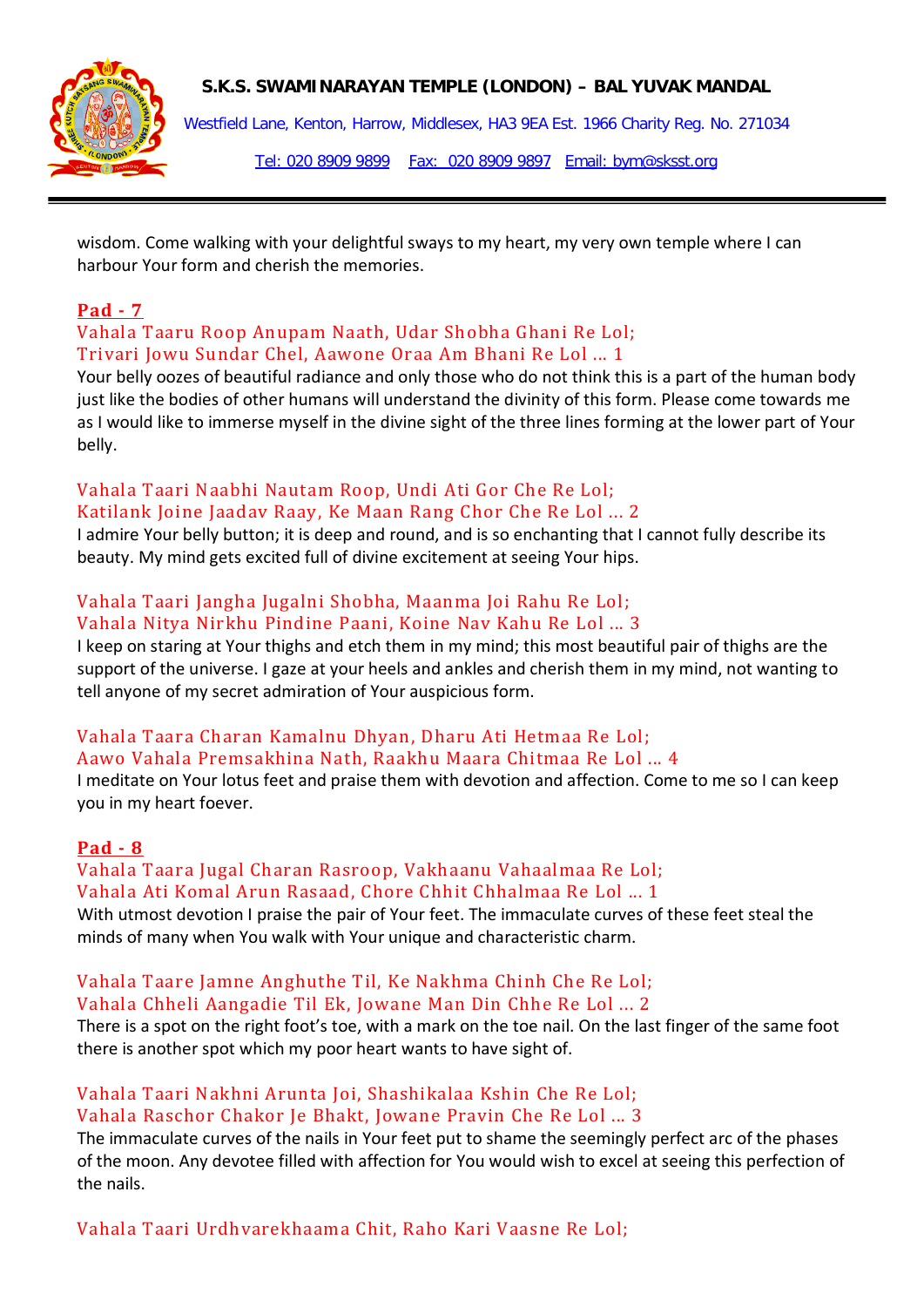

### **S.K.S. SWAMINARAYAN TEMPLE (LONDON) – BAL YUVAK MANDAL**

Westfield Lane, Kenton, Harrow, Middlesex, HA3 9EA Est. 1966 Charity Reg. No. 271034 Tel: 020 8909 9899 Fax: 020 8909 9897 Email: bym@sksst.org

wisdom. Come walking with your delightful sways to my heart, my very own temple where I can harbour Your form and cherish the memories.

## **Pad - 7**

Vahala Taaru Roop Anupam Naath, Udar Shobha Ghani Re Lol; Trivari Jowu Sundar Chel, Aawone Oraa Am Bhani Re Lol ... 1

Your belly oozes of beautiful radiance and only those who do not think this is a part of the human body just like the bodies of other humans will understand the divinity of this form. Please come towards me as I would like to immerse myself in the divine sight of the three lines forming at the lower part of Your belly.

# Vahala Taari Naabhi Nautam Roop, Undi Ati Gor Che Re Lol;

Katilank Joine Jaadav Raay, Ke Maan Rang Chor Che Re Lol ... 2 I admire Your belly button; it is deep and round, and is so enchanting that I cannot fully describe its beauty. My mind gets excited full of divine excitement at seeing Your hips.

# Vahala Taari Jangha Jugalni Shobha, Maanma Joi Rahu Re Lol;

### Vahala Nitya Nirkhu Pindine Paani, Koine Nav Kahu Re Lol ... 3

I keep on staring at Your thighs and etch them in my mind; this most beautiful pair of thighs are the support of the universe. I gaze at your heels and ankles and cherish them in my mind, not wanting to tell anyone of my secret admiration of Your auspicious form.

### Vahala Taara Charan Kamalnu Dhyan, Dharu Ati Hetmaa Re Lol;

### Aawo Vahala Premsakhina Nath, Raakhu Maara Chitmaa Re Lol ... 4

I meditate on Your lotus feet and praise them with devotion and affection. Come to me so I can keep you in my heart foever.

### **Pad - 8**

# Vahala Taara Jugal Charan Rasroop, Vakhaanu Vahaalmaa Re Lol;

Vahala Ati Komal Arun Rasaad, Chore Chhit Chhalmaa Re Lol ... 1 With utmost devotion I praise the pair of Your feet. The immaculate curves of these feet steal the minds of many when You walk with Your unique and characteristic charm.

# Vahala Taare Jamne Anghuthe Til, Ke Nakhma Chinh Che Re Lol;

Vahala Chheli Aangadie Til Ek, Jowane Man Din Chhe Re Lol ... 2

There is a spot on the right foot's toe, with a mark on the toe nail. On the last finger of the same foot there is another spot which my poor heart wants to have sight of.

## Vahala Taari Nakhni Arunta Joi, Shashikalaa Kshin Che Re Lol; Vahala Raschor Chakor Je Bhakt, Jowane Pravin Che Re Lol ... 3

The immaculate curves of the nails in Your feet put to shame the seemingly perfect arc of the phases of the moon. Any devotee filled with affection for You would wish to excel at seeing this perfection of the nails.

Vahala Taari Urdhvarekhaama Chit, Raho Kari Vaasne Re Lol;